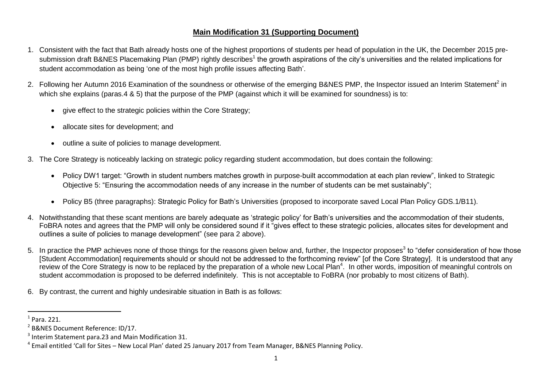# **Main Modification 31 (Supporting Document)**

- 1. Consistent with the fact that Bath already hosts one of the highest proportions of students per head of population in the UK, the December 2015 presubmission draft B&NES Placemaking Plan (PMP) rightly describes<sup>1</sup> the growth aspirations of the city's universities and the related implications for student accommodation as being 'one of the most high profile issues affecting Bath'.
- 2. Following her Autumn 2016 Examination of the soundness or otherwise of the emerging B&NES PMP, the Inspector issued an Interim Statement<sup>2</sup> in which she explains (paras.4 & 5) that the purpose of the PMP (against which it will be examined for soundness) is to:
	- give effect to the strategic policies within the Core Strategy;
	- allocate sites for development; and
	- outline a suite of policies to manage development.
- 3. The Core Strategy is noticeably lacking on strategic policy regarding student accommodation, but does contain the following:
	- Policy DW1 target: "Growth in student numbers matches growth in purpose-built accommodation at each plan review", linked to Strategic Objective 5: "Ensuring the accommodation needs of any increase in the number of students can be met sustainably";
	- Policy B5 (three paragraphs): Strategic Policy for Bath's Universities (proposed to incorporate saved Local Plan Policy GDS.1/B11).
- 4. Notwithstanding that these scant mentions are barely adequate as 'strategic policy' for Bath's universities and the accommodation of their students, FoBRA notes and agrees that the PMP will only be considered sound if it "gives effect to these strategic policies, allocates sites for development and outlines a suite of policies to manage development" (see para 2 above).
- 5. In practice the PMP achieves none of those things for the reasons given below and, further, the Inspector proposes<sup>3</sup> to "defer consideration of how those [Student Accommodation] requirements should or should not be addressed to the forthcoming review" [of the Core Strategy]. It is understood that any review of the Core Strategy is now to be replaced by the preparation of a whole new Local Plan<sup>4</sup>. In other words, imposition of meaningful controls on student accommodation is proposed to be deferred indefinitely. This is not acceptable to FoBRA (nor probably to most citizens of Bath).
- 6. By contrast, the current and highly undesirable situation in Bath is as follows:

 $\overline{a}$ 

<sup>1</sup> Para. 221.

<sup>&</sup>lt;sup>2</sup> B&NES Document Reference: ID/17.

 $3$  Interim Statement para.23 and Main Modification 31.

<sup>&</sup>lt;sup>4</sup> Email entitled 'Call for Sites – New Local Plan' dated 25 January 2017 from Team Manager, B&NES Planning Policy.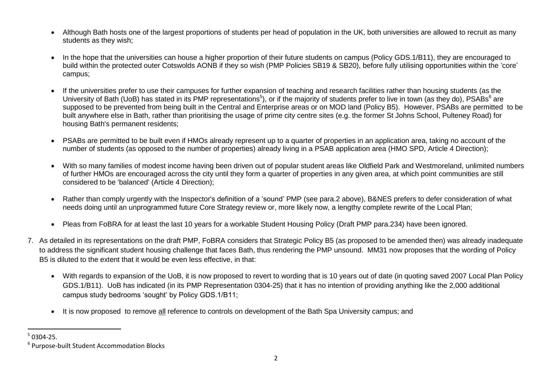- Although Bath hosts one of the largest proportions of students per head of population in the UK, both universities are allowed to recruit as many students as they wish;
- In the hope that the universities can house a higher proportion of their future students on campus (Policy GDS.1/B11), they are encouraged to build within the protected outer Cotswolds AONB if they so wish (PMP Policies SB19 & SB20), before fully utilising opportunities within the 'core' campus;
- If the universities prefer to use their campuses for further expansion of teaching and research facilities rather than housing students (as the University of Bath (UoB) has stated in its PMP representations<sup>5</sup>), or if the majority of students prefer to live in town (as they do), PSABs<sup>6</sup> are supposed to be prevented from being built in the Central and Enterprise areas or on MOD land (Policy B5). However, PSABs are permitted to be built anywhere else in Bath, rather than prioritising the usage of prime city centre sites (e.g. the former St Johns School, Pulteney Road) for housing Bath's permanent residents;
- PSABs are permitted to be built even if HMOs already represent up to a quarter of properties in an application area, taking no account of the number of students (as opposed to the number of properties) already living in a PSAB application area (HMO SPD, Article 4 Direction);
- With so many families of modest income having been driven out of popular student areas like Oldfield Park and Westmoreland, unlimited numbers of further HMOs are encouraged across the city until they form a quarter of properties in any given area, at which point communities are still considered to be 'balanced' (Article 4 Direction);
- Rather than comply urgently with the Inspector's definition of a 'sound' PMP (see para.2 above), B&NES prefers to defer consideration of what needs doing until an unprogrammed future Core Strategy review or, more likely now, a lengthy complete rewrite of the Local Plan;
- Pleas from FoBRA for at least the last 10 years for a workable Student Housing Policy (Draft PMP para.234) have been ignored.
- 7. As detailed in its representations on the draft PMP, FoBRA considers that Strategic Policy B5 (as proposed to be amended then) was already inadequate to address the significant student housing challenge that faces Bath, thus rendering the PMP unsound. MM31 now proposes that the wording of Policy B5 is diluted to the extent that it would be even less effective, in that:
	- With regards to expansion of the UoB, it is now proposed to revert to wording that is 10 years out of date (in quoting saved 2007 Local Plan Policy GDS.1/B11). UoB has indicated (in its PMP Representation 0304-25) that it has no intention of providing anything like the 2,000 additional campus study bedrooms 'sought' by Policy GDS.1/B11;
	- It is now proposed to remove all reference to controls on development of the Bath Spa University campus; and

<sup>1</sup>  $50304 - 25.$ 

<sup>6</sup> Purpose-built Student Accommodation Blocks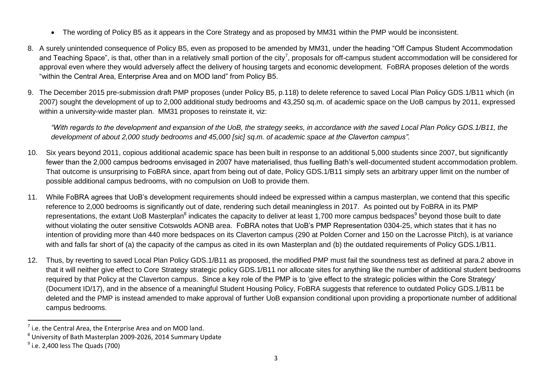- The wording of Policy B5 as it appears in the Core Strategy and as proposed by MM31 within the PMP would be inconsistent.
- 8. A surely unintended consequence of Policy B5, even as proposed to be amended by MM31, under the heading "Off Campus Student Accommodation and Teaching Space", is that, other than in a relatively small portion of the city<sup>7</sup>, proposals for off-campus student accommodation will be considered for approval even where they would adversely affect the delivery of housing targets and economic development. FoBRA proposes deletion of the words "within the Central Area, Enterprise Area and on MOD land" from Policy B5.
- 9. The December 2015 pre-submission draft PMP proposes (under Policy B5, p.118) to delete reference to saved Local Plan Policy GDS.1/B11 which (in 2007) sought the development of up to 2,000 additional study bedrooms and 43,250 sq.m. of academic space on the UoB campus by 2011, expressed within a university-wide master plan. MM31 proposes to reinstate it, viz:

*"With regards to the development and expansion of the UoB, the strategy seeks, in accordance with the saved Local Plan Policy GDS.1/B11, the development of about 2,000 study bedrooms and 45,000 [sic] sq.m. of academic space at the Claverton campus".*

- 10. Six years beyond 2011, copious additional academic space has been built in response to an additional 5,000 students since 2007, but significantly fewer than the 2,000 campus bedrooms envisaged in 2007 have materialised, thus fuelling Bath's well-documented student accommodation problem. That outcome is unsurprising to FoBRA since, apart from being out of date, Policy GDS.1/B11 simply sets an arbitrary upper limit on the number of possible additional campus bedrooms, with no compulsion on UoB to provide them.
- 11. While FoBRA agrees that UoB's development requirements should indeed be expressed within a campus masterplan, we contend that this specific reference to 2,000 bedrooms is significantly out of date, rendering such detail meaningless in 2017. As pointed out by FoBRA in its PMP representations, the extant UoB Masterplan<sup>8</sup> indicates the capacity to deliver at least 1,700 more campus bedspaces<sup>9</sup> beyond those built to date without violating the outer sensitive Cotswolds AONB area. FoBRA notes that UoB's PMP Representation 0304-25, which states that it has no intention of providing more than 440 more bedspaces on its Claverton campus (290 at Polden Corner and 150 on the Lacrosse Pitch), is at variance with and falls far short of (a) the capacity of the campus as cited in its own Masterplan and (b) the outdated requirements of Policy GDS.1/B11.
- 12. Thus, by reverting to saved Local Plan Policy GDS.1/B11 as proposed, the modified PMP must fail the soundness test as defined at para.2 above in that it will neither give effect to Core Strategy strategic policy GDS.1/B11 nor allocate sites for anything like the number of additional student bedrooms required by that Policy at the Claverton campus. Since a key role of the PMP is to 'give effect to the strategic policies within the Core Strategy' (Document ID/17), and in the absence of a meaningful Student Housing Policy, FoBRA suggests that reference to outdated Policy GDS.1/B11 be deleted and the PMP is instead amended to make approval of further UoB expansion conditional upon providing a proportionate number of additional campus bedrooms.

 $\overline{a}$ 

 $<sup>7</sup>$  i.e. the Central Area, the Enterprise Area and on MOD land.</sup>

<sup>8</sup> University of Bath Masterplan 2009-2026, 2014 Summary Update

 $^9$  i.e. 2,400 less The Quads (700)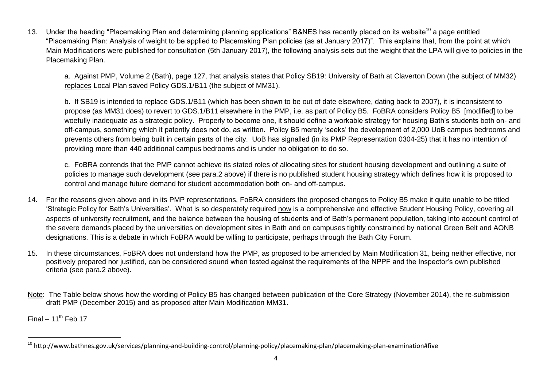13. Under the heading "Placemaking Plan and determining planning applications" B&NES has recently placed on its website<sup>10</sup> a page entitled "Placemaking Plan: Analysis of weight to be applied to Placemaking Plan policies (as at January 2017)". This explains that, from the point at which Main Modifications were published for consultation (5th January 2017), the following analysis sets out the weight that the LPA will give to policies in the Placemaking Plan.

a. Against PMP, Volume 2 (Bath), page 127, that analysis states that Policy SB19: University of Bath at Claverton Down (the subject of MM32) replaces Local Plan saved Policy GDS.1/B11 (the subject of MM31).

b. If SB19 is intended to replace GDS.1/B11 (which has been shown to be out of date elsewhere, dating back to 2007), it is inconsistent to propose (as MM31 does) to revert to GDS.1/B11 elsewhere in the PMP, i.e. as part of Policy B5. FoBRA considers Policy B5 [modified] to be woefully inadequate as a strategic policy. Properly to become one, it should define a workable strategy for housing Bath's students both on- and off-campus, something which it patently does not do, as written. Policy B5 merely 'seeks' the development of 2,000 UoB campus bedrooms and prevents others from being built in certain parts of the city. UoB has signalled (in its PMP Representation 0304-25) that it has no intention of providing more than 440 additional campus bedrooms and is under no obligation to do so.

c. FoBRA contends that the PMP cannot achieve its stated roles of allocating sites for student housing development and outlining a suite of policies to manage such development (see para.2 above) if there is no published student housing strategy which defines how it is proposed to control and manage future demand for student accommodation both on- and off-campus.

- 14. For the reasons given above and in its PMP representations, FoBRA considers the proposed changes to Policy B5 make it quite unable to be titled 'Strategic Policy for Bath's Universities'. What is so desperately required now is a comprehensive and effective Student Housing Policy, covering all aspects of university recruitment, and the balance between the housing of students and of Bath's permanent population, taking into account control of the severe demands placed by the universities on development sites in Bath and on campuses tightly constrained by national Green Belt and AONB designations. This is a debate in which FoBRA would be willing to participate, perhaps through the Bath City Forum.
- 15. In these circumstances, FoBRA does not understand how the PMP, as proposed to be amended by Main Modification 31, being neither effective, nor positively prepared nor justified, can be considered sound when tested against the requirements of the NPPF and the Inspector's own published criteria (see para.2 above).
- Note: The Table below shows how the wording of Policy B5 has changed between publication of the Core Strategy (November 2014), the re-submission draft PMP (December 2015) and as proposed after Main Modification MM31.

 $Final - 11<sup>th</sup>$  Feb 17

 $\ddot{\phantom{a}}$ 

<sup>&</sup>lt;sup>10</sup> http://www.bathnes.gov.uk/services/planning-and-building-control/planning-policy/placemaking-plan/placemaking-plan-examination#five